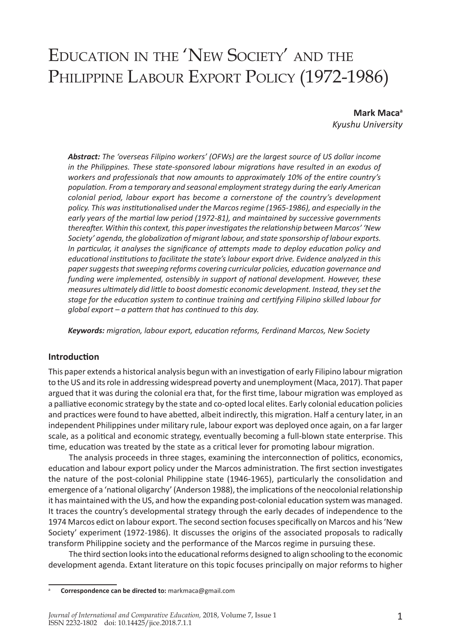# Education in the 'New Society' and the PHILIPPINE LABOUR EXPORT POLICY (1972-1986)

**Mark Maca<sup>a</sup>** *Kyushu University*

*Abstract: The 'overseas Filipino workers' (OFWs) are the largest source of US dollar income in the Philippines. These state-sponsored labour migrations have resulted in an exodus of workers and professionals that now amounts to approximately 10% of the entire country's population. From a temporary and seasonal employment strategy during the early American colonial period, labour export has become a cornerstone of the country's development policy. This was institutionalised under the Marcos regime (1965-1986), and especially in the early years of the martial law period (1972-81), and maintained by successive governments thereafter. Within this context, this paper investigates the relationship between Marcos' 'New Society' agenda, the globalization of migrant labour, and state sponsorship of labour exports. In particular, it analyses the significance of attempts made to deploy education policy and educational institutions to facilitate the state's labour export drive. Evidence analyzed in this paper suggests that sweeping reforms covering curricular policies, education governance and funding were implemented, ostensibly in support of national development. However, these measures ultimately did little to boost domestic economic development. Instead, they set the stage for the education system to continue training and certifying Filipino skilled labour for global export – a pattern that has continued to this day.* 

*Keywords: migration, labour export, education reforms, Ferdinand Marcos, New Society*

#### **Introduction**

This paper extends a historical analysis begun with an investigation of early Filipino labour migration to the US and its role in addressing widespread poverty and unemployment (Maca, 2017). That paper argued that it was during the colonial era that, for the first time, labour migration was employed as a palliative economic strategy by the state and co-opted local elites. Early colonial education policies and practices were found to have abetted, albeit indirectly, this migration. Half a century later, in an independent Philippines under military rule, labour export was deployed once again, on a far larger scale, as a political and economic strategy, eventually becoming a full-blown state enterprise. This time, education was treated by the state as a critical lever for promoting labour migration.

The analysis proceeds in three stages, examining the interconnection of politics, economics, education and labour export policy under the Marcos administration. The first section investigates the nature of the post-colonial Philippine state (1946-1965), particularly the consolidation and emergence of a 'national oligarchy' (Anderson 1988), the implications of the neocolonial relationship it has maintained with the US, and how the expanding post-colonial education system was managed. It traces the country's developmental strategy through the early decades of independence to the 1974 Marcos edict on labour export. The second section focuses specifically on Marcos and his 'New Society' experiment (1972-1986). It discusses the origins of the associated proposals to radically transform Philippine society and the performance of the Marcos regime in pursuing these.

The third section looks into the educational reforms designed to align schooling to the economic development agenda. Extant literature on this topic focuses principally on major reforms to higher

<sup>a</sup> **Correspondence can be directed to:** markmaca@gmail.com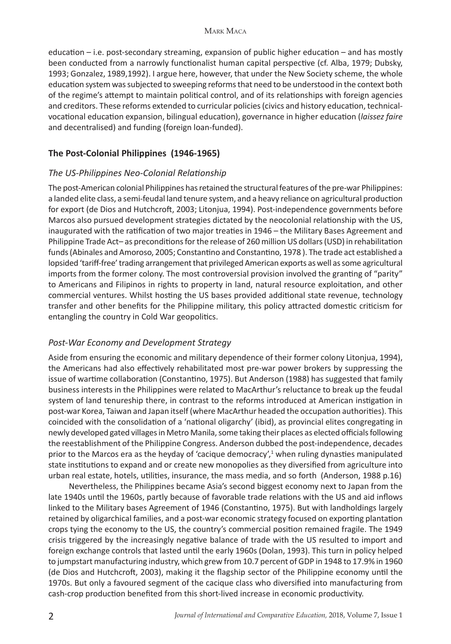education – i.e. post-secondary streaming, expansion of public higher education – and has mostly been conducted from a narrowly functionalist human capital perspective (cf. Alba, 1979; Dubsky, 1993; Gonzalez, 1989,1992). I argue here, however, that under the New Society scheme, the whole education system was subjected to sweeping reforms that need to be understood in the context both of the regime's attempt to maintain political control, and of its relationships with foreign agencies and creditors. These reforms extended to curricular policies (civics and history education, technicalvocational education expansion, bilingual education), governance in higher education (*laissez faire*  and decentralised) and funding (foreign loan-funded).

## **The Post-Colonial Philippines (1946-1965)**

## *The US-Philippines Neo-Colonial Relationship*

The post-American colonial Philippines has retained the structural features of the pre-war Philippines: a landed elite class, a semi-feudal land tenure system, and a heavy reliance on agricultural production for export (de Dios and Hutchcroft, 2003; Litonjua, 1994). Post-independence governments before Marcos also pursued development strategies dictated by the neocolonial relationship with the US, inaugurated with the ratification of two major treaties in 1946 – the Military Bases Agreement and Philippine Trade Act– as preconditions for the release of 260 million US dollars (USD) in rehabilitation funds (Abinales and Amoroso, 2005; Constantino and Constantino, 1978 ). The trade act established a lopsided 'tariff-free' trading arrangement that privileged American exports as well as some agricultural imports from the former colony. The most controversial provision involved the granting of "parity" to Americans and Filipinos in rights to property in land, natural resource exploitation, and other commercial ventures. Whilst hosting the US bases provided additional state revenue, technology transfer and other benefits for the Philippine military, this policy attracted domestic criticism for entangling the country in Cold War geopolitics.

## *Post-War Economy and Development Strategy*

Aside from ensuring the economic and military dependence of their former colony Litonjua, 1994), the Americans had also effectively rehabilitated most pre-war power brokers by suppressing the issue of wartime collaboration (Constantino, 1975). But Anderson (1988) has suggested that family business interests in the Philippines were related to MacArthur's reluctance to break up the feudal system of land tenureship there, in contrast to the reforms introduced at American instigation in post-war Korea, Taiwan and Japan itself (where MacArthur headed the occupation authorities). This coincided with the consolidation of a 'national oligarchy' (ibid), as provincial elites congregating in newly developed gated villages in Metro Manila, some taking their places as elected officials following the reestablishment of the Philippine Congress. Anderson dubbed the post-independence, decades prior to the Marcos era as the heyday of 'cacique democracy',<sup>1</sup> when ruling dynasties manipulated state institutions to expand and or create new monopolies as they diversified from agriculture into urban real estate, hotels, utilities, insurance, the mass media, and so forth (Anderson, 1988 p.16)

Nevertheless, the Philippines became Asia's second biggest economy next to Japan from the late 1940s until the 1960s, partly because of favorable trade relations with the US and aid inflows linked to the Military bases Agreement of 1946 (Constantino, 1975). But with landholdings largely retained by oligarchical families, and a post-war economic strategy focused on exporting plantation crops tying the economy to the US, the country's commercial position remained fragile. The 1949 crisis triggered by the increasingly negative balance of trade with the US resulted to import and foreign exchange controls that lasted until the early 1960s (Dolan, 1993). This turn in policy helped to jumpstart manufacturing industry, which grew from 10.7 percent of GDP in 1948 to 17.9% in 1960 (de Dios and Hutchcroft, 2003), making it the flagship sector of the Philippine economy until the 1970s. But only a favoured segment of the cacique class who diversified into manufacturing from cash-crop production benefited from this short-lived increase in economic productivity.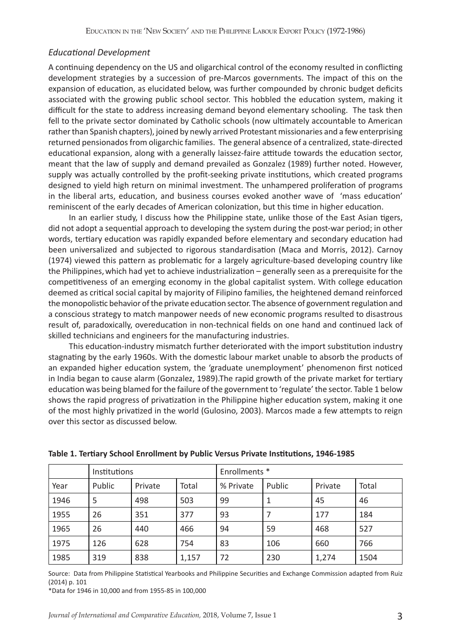#### *Educational Development*

A continuing dependency on the US and oligarchical control of the economy resulted in conflicting development strategies by a succession of pre-Marcos governments. The impact of this on the expansion of education, as elucidated below, was further compounded by chronic budget deficits associated with the growing public school sector. This hobbled the education system, making it difficult for the state to address increasing demand beyond elementary schooling. The task then fell to the private sector dominated by Catholic schools (now ultimately accountable to American rather than Spanish chapters), joined by newly arrived Protestant missionaries and a few enterprising returned pensionados from oligarchic families. The general absence of a centralized, state-directed educational expansion, along with a generally laissez-faire attitude towards the education sector, meant that the law of supply and demand prevailed as Gonzalez (1989) further noted. However, supply was actually controlled by the profit-seeking private institutions, which created programs designed to yield high return on minimal investment. The unhampered proliferation of programs in the liberal arts, education, and business courses evoked another wave of 'mass education' reminiscent of the early decades of American colonization, but this time in higher education.

In an earlier study, I discuss how the Philippine state, unlike those of the East Asian tigers, did not adopt a sequential approach to developing the system during the post-war period; in other words, tertiary education was rapidly expanded before elementary and secondary education had been universalized and subjected to rigorous standardisation (Maca and Morris, 2012). Carnoy (1974) viewed this pattern as problematic for a largely agriculture-based developing country like the Philippines,which had yet to achieve industrialization – generally seen as a prerequisite for the competitiveness of an emerging economy in the global capitalist system. With college education deemed as critical social capital by majority of Filipino families, the heightened demand reinforced the monopolistic behavior of the private education sector. The absence of government regulation and a conscious strategy to match manpower needs of new economic programs resulted to disastrous result of, paradoxically, overeducation in non-technical fields on one hand and continued lack of skilled technicians and engineers for the manufacturing industries.

This education-industry mismatch further deteriorated with the import substitution industry stagnating by the early 1960s. With the domestic labour market unable to absorb the products of an expanded higher education system, the 'graduate unemployment' phenomenon first noticed in India began to cause alarm (Gonzalez, 1989).The rapid growth of the private market for tertiary education was being blamed for the failure of the government to 'regulate' the sector. Table 1 below shows the rapid progress of privatization in the Philippine higher education system, making it one of the most highly privatized in the world (Gulosino, 2003). Marcos made a few attempts to reign over this sector as discussed below.

|      | Institutions |         |       | Enrollments * |        |         |       |
|------|--------------|---------|-------|---------------|--------|---------|-------|
| Year | Public       | Private | Total | % Private     | Public | Private | Total |
| 1946 | 5            | 498     | 503   | 99            |        | 45      | 46    |
| 1955 | 26           | 351     | 377   | 93            |        | 177     | 184   |
| 1965 | 26           | 440     | 466   | 94            | 59     | 468     | 527   |
| 1975 | 126          | 628     | 754   | 83            | 106    | 660     | 766   |
| 1985 | 319          | 838     | 1,157 | 72            | 230    | 1,274   | 1504  |

**Table 1. Tertiary School Enrollment by Public Versus Private Institutions, 1946-1985** 

Source: Data from Philippine Statistical Yearbooks and Philippine Securities and Exchange Commission adapted from Ruiz (2014) p. 101

\*Data for 1946 in 10,000 and from 1955-85 in 100,000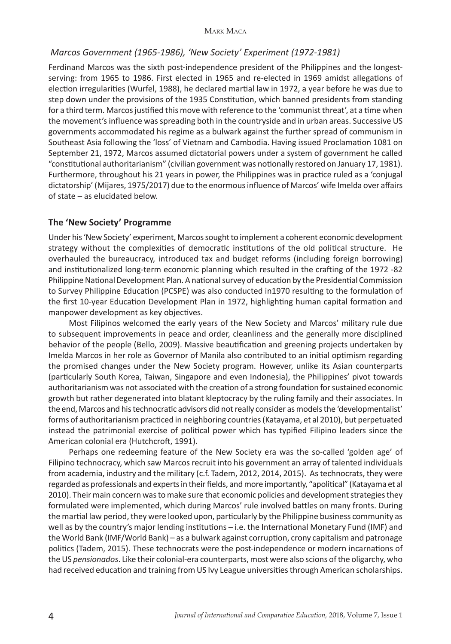#### *Marcos Government (1965-1986), 'New Society' Experiment (1972-1981)*

Ferdinand Marcos was the sixth post-independence president of the Philippines and the longestserving: from 1965 to 1986. First elected in 1965 and re-elected in 1969 amidst allegations of election irregularities (Wurfel, 1988), he declared martial law in 1972, a year before he was due to step down under the provisions of the 1935 Constitution, which banned presidents from standing for a third term. Marcos justified this move with reference to the 'communist threat', at a time when the movement's influence was spreading both in the countryside and in urban areas. Successive US governments accommodated his regime as a bulwark against the further spread of communism in Southeast Asia following the 'loss' of Vietnam and Cambodia. Having issued Proclamation 1081 on September 21, 1972, Marcos assumed dictatorial powers under a system of government he called "constitutional authoritarianism" (civilian government was notionally restored on January 17, 1981). Furthermore, throughout his 21 years in power, the Philippines was in practice ruled as a 'conjugal dictatorship' (Mijares, 1975/2017) due to the enormous influence of Marcos' wife Imelda over affairs of state – as elucidated below.

#### **The 'New Society' Programme**

Under his 'New Society' experiment, Marcos sought to implement a coherent economic development strategy without the complexities of democratic institutions of the old political structure. He overhauled the bureaucracy, introduced tax and budget reforms (including foreign borrowing) and institutionalized long-term economic planning which resulted in the crafting of the 1972 -82 Philippine National Development Plan. A national survey of education by the Presidential Commission to Survey Philippine Education (PCSPE) was also conducted in1970 resulting to the formulation of the first 10-year Education Development Plan in 1972, highlighting human capital formation and manpower development as key objectives.

Most Filipinos welcomed the early years of the New Society and Marcos' military rule due to subsequent improvements in peace and order, cleanliness and the generally more disciplined behavior of the people (Bello, 2009). Massive beautification and greening projects undertaken by Imelda Marcos in her role as Governor of Manila also contributed to an initial optimism regarding the promised changes under the New Society program. However, unlike its Asian counterparts (particularly South Korea, Taiwan, Singapore and even Indonesia), the Philippines' pivot towards authoritarianism was not associated with the creation of a strong foundation for sustained economic growth but rather degenerated into blatant kleptocracy by the ruling family and their associates. In the end, Marcos and his technocratic advisors did not really consider as models the 'developmentalist' forms of authoritarianism practiced in neighboring countries (Katayama, et al 2010), but perpetuated instead the patrimonial exercise of political power which has typified Filipino leaders since the American colonial era (Hutchcroft, 1991).

Perhaps one redeeming feature of the New Society era was the so-called 'golden age' of Filipino technocracy, which saw Marcos recruit into his government an array of talented individuals from academia, industry and the military (c.f. Tadem, 2012, 2014, 2015). As technocrats, they were regarded as professionals and experts in their fields, and more importantly, "apolitical" (Katayama et al 2010). Their main concern was to make sure that economic policies and development strategies they formulated were implemented, which during Marcos' rule involved battles on many fronts. During the martial law period, they were looked upon, particularly by the Philippine business community as well as by the country's major lending institutions – i.e. the International Monetary Fund (IMF) and the World Bank (IMF/World Bank) – as a bulwark against corruption, crony capitalism and patronage politics (Tadem, 2015). These technocrats were the post-independence or modern incarnations of the US *pensionados*. Like their colonial-era counterparts, most were also scions of the oligarchy, who had received education and training from US Ivy League universities through American scholarships.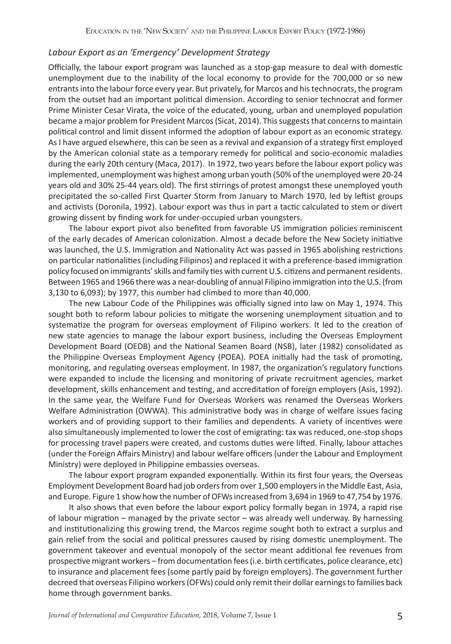#### *Labour Export as an 'Emergency' Development Strategy*

Officially, the labour export program was launched as a stop-gap measure to deal with domestic unemployment due to the inability of the local economy to provide for the 700,000 or so new entrants into the labour force every year. But privately, for Marcos and his technocrats, the program from the outset had an important political dimension. According to senior technocrat and former Prime Minister Cesar Virata, the voice of the educated, young, urban and unemployed population became a major problem for President Marcos (Sicat, 2014). This suggests that concerns to maintain political control and limit dissent informed the adoption of labour export as an economic strategy. As I have argued elsewhere, this can be seen as a revival and expansion of a strategy first employed by the American colonial state as a temporary remedy for political and socio-economic maladies during the early 20th century (Maca, 2017). In 1972, two years before the labour export policy was implemented, unemployment was highest among urban youth (50% of the unemployed were 20-24 years old and 30% 25-44 years old). The first stirrings of protest amongst these unemployed youth precipitated the so-called First Quarter Storm from January to March 1970, led by leftist groups and activists (Doronila, 1992). Labour export was thus in part a tactic calculated to stem or divert growing dissent by finding work for under-occupied urban youngsters.

The labour export pivot also benefited from favorable US immigration policies reminiscent of the early decades of American colonization. Almost a decade before the New Society initiative was launched, the U.S. Immigration and Nationality Act was passed in 1965 abolishing restrictions on particular nationalities (including Filipinos) and replaced it with a preference-based immigration policy focused on immigrants' skills and family ties with current U.S. citizens and permanent residents. Between 1965 and 1966 there was a near-doubling of annual Filipino immigration into the U.S. (from 3,130 to 6,093); by 1977, this number had climbed to more than 40,000.

The new Labour Code of the Philippines was officially signed into law on May 1, 1974. This sought both to reform labour policies to mitigate the worsening unemployment situation and to systematize the program for overseas employment of Filipino workers. It led to the creation of new state agencies to manage the labour export business, including the Overseas Employment Development Board (OEDB) and the National Seamen Board (NSB), later (1982) consolidated as the Philippine Overseas Employment Agency (POEA). POEA initially had the task of promoting, monitoring, and regulating overseas employment. In 1987, the organization's regulatory functions were expanded to include the licensing and monitoring of private recruitment agencies, market development, skills enhancement and testing, and accreditation of foreign employers (Asis, 1992). In the same year, the Welfare Fund for Overseas Workers was renamed the Overseas Workers Welfare Administration (OWWA). This administrative body was in charge of welfare issues facing workers and of providing support to their families and dependents. A variety of incentives were also simultaneously implemented to lower the cost of emigrating: tax was reduced, one-stop shops for processing travel papers were created, and customs duties were lifted. Finally, labour attaches (under the Foreign Affairs Ministry) and labour welfare officers (under the Labour and Employment Ministry) were deployed in Philippine embassies overseas.

The labour export program expanded exponentially. Within its first four years, the Overseas Employment Development Board had job orders from over 1,500 employers in the Middle East, Asia, and Europe. Figure 1 show how the number of OFWs increased from 3,694 in 1969 to 47,754 by 1976.

It also shows that even before the labour export policy formally began in 1974, a rapid rise of labour migration – managed by the private sector – was already well underway. By harnessing and institutionalizing this growing trend, the Marcos regime sought both to extract a surplus and gain relief from the social and political pressures caused by rising domestic unemployment. The government takeover and eventual monopoly of the sector meant additional fee revenues from prospective migrant workers – from documentation fees (i.e. birth certificates, police clearance, etc) to insurance and placement fees (some partly paid by foreign employers). The government further decreed that overseas Filipino workers (OFWs) could only remit their dollar earnings to families back home through government banks.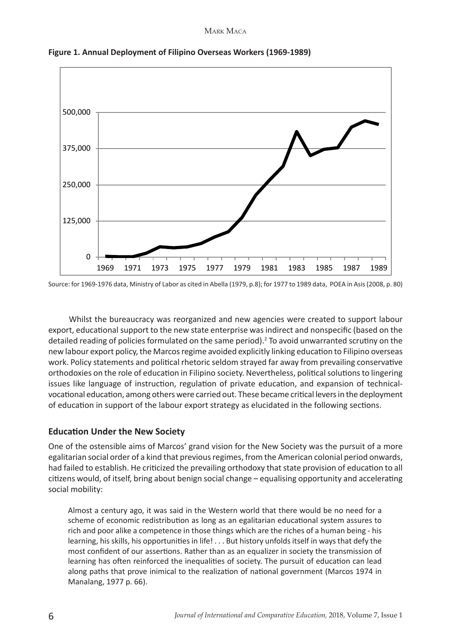

**Figure 1. Annual Deployment of Filipino Overseas Workers (1969-1989)**

Source: for 1969-1976 data, Ministry of Labor as cited in Abella (1979, p.8); for 1977 to 1989 data, POEA in Asis (2008, p. 80)

Whilst the bureaucracy was reorganized and new agencies were created to support labour export, educational support to the new state enterprise was indirect and nonspecific (based on the detailed reading of policies formulated on the same period).<sup>2</sup> To avoid unwarranted scrutiny on the new labour export policy, the Marcos regime avoided explicitly linking education to Filipino overseas work. Policy statements and political rhetoric seldom strayed far away from prevailing conservative orthodoxies on the role of education in Filipino society. Nevertheless, political solutions to lingering issues like language of instruction, regulation of private education, and expansion of technicalvocational education, among others were carried out. These became critical levers in the deployment of education in support of the labour export strategy as elucidated in the following sections.

# **Education Under the New Society**

One of the ostensible aims of Marcos' grand vision for the New Society was the pursuit of a more egalitarian social order of a kind that previous regimes, from the American colonial period onwards, had failed to establish. He criticized the prevailing orthodoxy that state provision of education to all citizens would, of itself, bring about benign social change – equalising opportunity and accelerating social mobility:

Almost a century ago, it was said in the Western world that there would be no need for a scheme of economic redistribution as long as an egalitarian educational system assures to rich and poor alike a competence in those things which are the riches of a human being - his learning, his skills, his opportunities in life! . . . But history unfolds itself in ways that defy the most confident of our assertions. Rather than as an equalizer in society the transmission of learning has often reinforced the inequalities of society. The pursuit of education can lead along paths that prove inimical to the realization of national government (Marcos 1974 in Manalang, 1977 p. 66).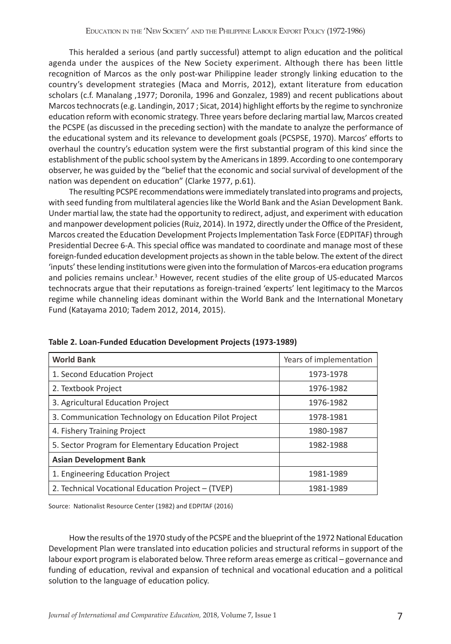This heralded a serious (and partly successful) attempt to align education and the political agenda under the auspices of the New Society experiment. Although there has been little recognition of Marcos as the only post-war Philippine leader strongly linking education to the country's development strategies (Maca and Morris, 2012), extant literature from education scholars (c.f. Manalang ,1977; Doronila, 1996 and Gonzalez, 1989) and recent publications about Marcos technocrats (e.g. Landingin, 2017 ; Sicat, 2014) highlight efforts by the regime to synchronize education reform with economic strategy. Three years before declaring martial law, Marcos created the PCSPE (as discussed in the preceding section) with the mandate to analyze the performance of the educational system and its relevance to development goals (PCSPSE, 1970). Marcos' efforts to overhaul the country's education system were the first substantial program of this kind since the establishment of the public school system by the Americans in 1899. According to one contemporary observer, he was guided by the "belief that the economic and social survival of development of the nation was dependent on education" (Clarke 1977, p.61).

The resulting PCSPE recommendations were immediately translated into programs and projects, with seed funding from multilateral agencies like the World Bank and the Asian Development Bank. Under martial law, the state had the opportunity to redirect, adjust, and experiment with education and manpower development policies (Ruiz, 2014). In 1972, directly under the Office of the President, Marcos created the Education Development Projects Implementation Task Force (EDPITAF) through Presidential Decree 6-A. This special office was mandated to coordinate and manage most of these foreign-funded education development projects as shown in the table below. The extent of the direct 'inputs' these lending institutions were given into the formulation of Marcos-era education programs and policies remains unclear.<sup>3</sup> However, recent studies of the elite group of US-educated Marcos technocrats argue that their reputations as foreign-trained 'experts' lent legitimacy to the Marcos regime while channeling ideas dominant within the World Bank and the International Monetary Fund (Katayama 2010; Tadem 2012, 2014, 2015).

| <b>World Bank</b>                                      | Years of implementation |  |  |
|--------------------------------------------------------|-------------------------|--|--|
| 1. Second Education Project                            | 1973-1978               |  |  |
| 2. Textbook Project                                    | 1976-1982               |  |  |
| 3. Agricultural Education Project                      | 1976-1982               |  |  |
| 3. Communication Technology on Education Pilot Project | 1978-1981               |  |  |
| 4. Fishery Training Project                            | 1980-1987               |  |  |
| 5. Sector Program for Elementary Education Project     | 1982-1988               |  |  |
| <b>Asian Development Bank</b>                          |                         |  |  |
| 1. Engineering Education Project                       | 1981-1989               |  |  |
| 2. Technical Vocational Education Project – (TVEP)     | 1981-1989               |  |  |

**Table 2. Loan-Funded Education Development Projects (1973-1989)**

Source: Nationalist Resource Center (1982) and EDPITAF (2016)

How the results of the 1970 study of the PCSPE and the blueprint of the 1972 National Education Development Plan were translated into education policies and structural reforms in support of the labour export program is elaborated below. Three reform areas emerge as critical – governance and funding of education, revival and expansion of technical and vocational education and a political solution to the language of education policy.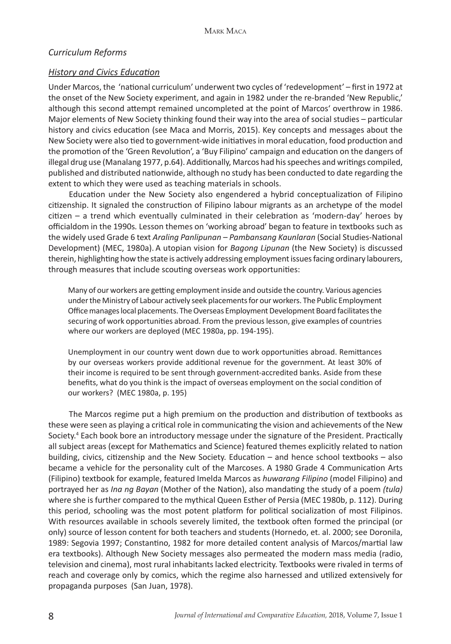#### *Curriculum Reforms*

#### *History and Civics Education*

Under Marcos, the 'national curriculum' underwent two cycles of 'redevelopment' – first in 1972 at the onset of the New Society experiment, and again in 1982 under the re-branded 'New Republic,' although this second attempt remained uncompleted at the point of Marcos' overthrow in 1986. Major elements of New Society thinking found their way into the area of social studies – particular history and civics education (see Maca and Morris, 2015). Key concepts and messages about the New Society were also tied to government-wide initiatives in moral education, food production and the promotion of the 'Green Revolution', a 'Buy Filipino' campaign and education on the dangers of illegal drug use (Manalang 1977, p.64). Additionally, Marcos had his speeches and writings compiled, published and distributed nationwide, although no study has been conducted to date regarding the extent to which they were used as teaching materials in schools.

Education under the New Society also engendered a hybrid conceptualization of Filipino citizenship. It signaled the construction of Filipino labour migrants as an archetype of the model citizen – a trend which eventually culminated in their celebration as 'modern-day' heroes by officialdom in the 1990s*.* Lesson themes on 'working abroad' began to feature in textbooks such as the widely used Grade 6 text *Araling Panlipunan – Pambansang Kaunlaran* (Social Studies-National Development) (MEC, 1980a). A utopian vision for *Bagong Lipunan* (the New Society) is discussed therein, highlighting how the state is actively addressing employment issues facing ordinary labourers, through measures that include scouting overseas work opportunities:

Many of our workers are getting employment inside and outside the country. Various agencies under the Ministry of Labour actively seek placements for our workers. The Public Employment Office manages local placements. The Overseas Employment Development Board facilitates the securing of work opportunities abroad. From the previous lesson, give examples of countries where our workers are deployed (MEC 1980a, pp. 194-195).

Unemployment in our country went down due to work opportunities abroad. Remittances by our overseas workers provide additional revenue for the government. At least 30% of their income is required to be sent through government-accredited banks. Aside from these benefits, what do you think is the impact of overseas employment on the social condition of our workers? (MEC 1980a, p. 195)

The Marcos regime put a high premium on the production and distribution of textbooks as these were seen as playing a critical role in communicating the vision and achievements of the New Society.<sup>4</sup> Each book bore an introductory message under the signature of the President. Practically all subject areas (except for Mathematics and Science) featured themes explicitly related to nation building, civics, citizenship and the New Society. Education – and hence school textbooks – also became a vehicle for the personality cult of the Marcoses. A 1980 Grade 4 Communication Arts (Filipino) textbook for example, featured Imelda Marcos as *huwarang Filipino* (model Filipino) and portrayed her as *Ina ng Bayan* (Mother of the Nation), also mandating the study of a poem *(tula)*  where she is further compared to the mythical Queen Esther of Persia (MEC 1980b, p. 112). During this period, schooling was the most potent platform for political socialization of most Filipinos. With resources available in schools severely limited, the textbook often formed the principal (or only) source of lesson content for both teachers and students (Hornedo, et. al. 2000; see Doronila, 1989: Segovia 1997; Constantino, 1982 for more detailed content analysis of Marcos/martial law era textbooks). Although New Society messages also permeated the modern mass media (radio, television and cinema), most rural inhabitants lacked electricity. Textbooks were rivaled in terms of reach and coverage only by comics, which the regime also harnessed and utilized extensively for propaganda purposes (San Juan, 1978).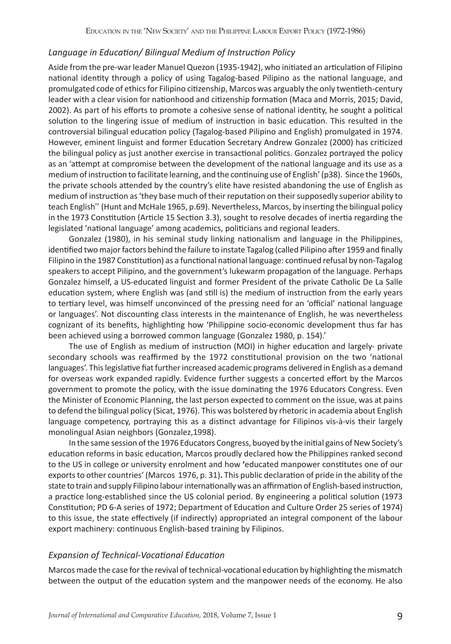#### *Language in Education/ Bilingual Medium of Instruction Policy*

Aside from the pre-war leader Manuel Quezon (1935-1942), who initiated an articulation of Filipino national identity through a policy of using Tagalog-based Pilipino as the national language, and promulgated code of ethics for Filipino citizenship, Marcos was arguably the only twentieth-century leader with a clear vision for nationhood and citizenship formation (Maca and Morris, 2015; David, 2002). As part of his efforts to promote a cohesive sense of national identity, he sought a political solution to the lingering issue of medium of instruction in basic education. This resulted in the controversial bilingual education policy (Tagalog-based Pilipino and English) promulgated in 1974. However, eminent linguist and former Education Secretary Andrew Gonzalez (2000) has criticized the bilingual policy as just another exercise in transactional politics. Gonzalez portrayed the policy as an 'attempt at compromise between the development of the national language and its use as a medium of instruction to facilitate learning, and the continuing use of English' (p38). Since the 1960s, the private schools attended by the country's elite have resisted abandoning the use of English as medium of instruction as 'they base much of their reputation on their supposedly superior ability to teach English" (Hunt and McHale 1965, p.69). Nevertheless, Marcos, by inserting the bilingual policy in the 1973 Constitution (Article 15 Section 3.3), sought to resolve decades of inertia regarding the legislated 'national language' among academics, politicians and regional leaders.

Gonzalez (1980), in his seminal study linking nationalism and language in the Philippines, identified two major factors behind the failure to instate Tagalog (called Pilipino after 1959 and finally Filipino in the 1987 Constitution) as a functional national language: continued refusal by non-Tagalog speakers to accept Pilipino, and the government's lukewarm propagation of the language. Perhaps Gonzalez himself, a US-educated linguist and former President of the private Catholic De La Salle education system, where English was (and still is) the medium of instruction from the early years to tertiary level, was himself unconvinced of the pressing need for an 'official' national language or languages'. Not discounting class interests in the maintenance of English, he was nevertheless cognizant of its benefits, highlighting how 'Philippine socio-economic development thus far has been achieved using a borrowed common language (Gonzalez 1980, p. 154).'

The use of English as medium of instruction (MOI) in higher education and largely- private secondary schools was reaffirmed by the 1972 constitutional provision on the two 'national languages'. This legislative fiat further increased academic programs delivered in English as a demand for overseas work expanded rapidly. Evidence further suggests a concerted effort by the Marcos government to promote the policy, with the issue dominating the 1976 Educators Congress. Even the Minister of Economic Planning, the last person expected to comment on the issue, was at pains to defend the bilingual policy (Sicat, 1976). This was bolstered by rhetoric in academia about English language competency, portraying this as a distinct advantage for Filipinos vis-à-vis their largely monolingual Asian neighbors (Gonzalez,1998).

In the same session of the 1976 Educators Congress, buoyed by the initial gains of New Society's education reforms in basic education, Marcos proudly declared how the Philippines ranked second to the US in college or university enrolment and how **'**educated manpower constitutes one of our exports to other countries' (Marcos 1976, p. 31)**.** This public declaration of pride in the ability of the state to train and supply Filipino labour internationally was an affirmation of English-based instruction, a practice long-established since the US colonial period. By engineering a political solution (1973 Constitution; PD 6-A series of 1972; Department of Education and Culture Order 25 series of 1974) to this issue, the state effectively (if indirectly) appropriated an integral component of the labour export machinery: continuous English-based training by Filipinos.

#### *Expansion of Technical-Vocational Education*

Marcos made the case for the revival of technical-vocational education by highlighting the mismatch between the output of the education system and the manpower needs of the economy. He also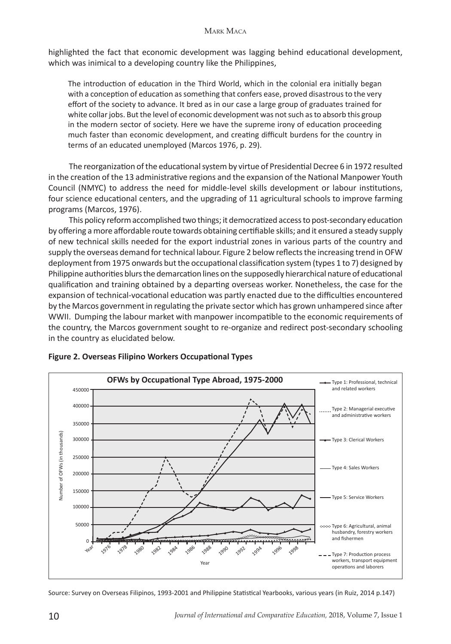highlighted the fact that economic development was lagging behind educational development, which was inimical to a developing country like the Philippines,

The introduction of education in the Third World, which in the colonial era initially began with a conception of education as something that confers ease, proved disastrous to the very effort of the society to advance. It bred as in our case a large group of graduates trained for white collar jobs. But the level of economic development was not such as to absorb this group in the modern sector of society. Here we have the supreme irony of education proceeding much faster than economic development, and creating difficult burdens for the country in terms of an educated unemployed (Marcos 1976, p. 29).

The reorganization of the educational system by virtue of Presidential Decree 6 in 1972 resulted in the creation of the 13 administrative regions and the expansion of the National Manpower Youth Council (NMYC) to address the need for middle-level skills development or labour institutions, four science educational centers, and the upgrading of 11 agricultural schools to improve farming programs (Marcos, 1976).

This policy reform accomplished two things; it democratized access to post-secondary education by offering a more affordable route towards obtaining certifiable skills; and it ensured a steady supply of new technical skills needed for the export industrial zones in various parts of the country and supply the overseas demand for technical labour. Figure 2 below reflects the increasing trend in OFW deployment from 1975 onwards but the occupational classification system (types 1 to 7) designed by Philippine authorities blurs the demarcation lines on the supposedly hierarchical nature of educational qualification and training obtained by a departing overseas worker. Nonetheless, the case for the expansion of technical-vocational education was partly enacted due to the difficulties encountered by the Marcos government in regulating the private sector which has grown unhampered since after WWII. Dumping the labour market with manpower incompatible to the economic requirements of the country, the Marcos government sought to re-organize and redirect post-secondary schooling in the country as elucidated below.



#### **Figure 2. Overseas Filipino Workers Occupational Types**

Source: Survey on Overseas Filipinos, 1993-2001 and Philippine Statistical Yearbooks, various years (in Ruiz, 2014 p.147)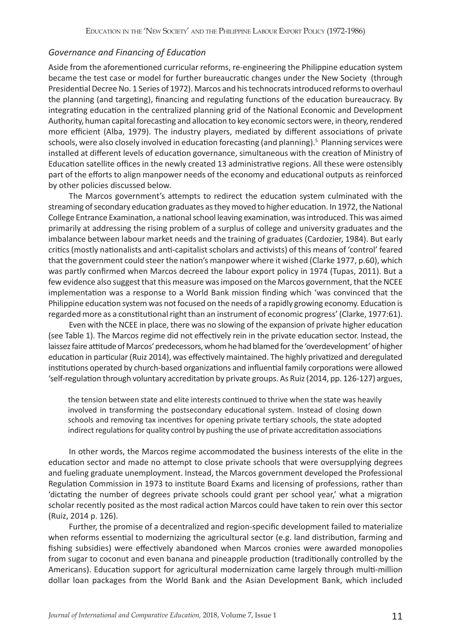#### *Governance and Financing of Education*

Aside from the aforementioned curricular reforms, re-engineering the Philippine education system became the test case or model for further bureaucratic changes under the New Society (through Presidential Decree No. 1 Series of 1972). Marcos and his technocrats introduced reforms to overhaul the planning (and targeting), financing and regulating functions of the education bureaucracy. By integrating education in the centralized planning grid of the National Economic and Development Authority, human capital forecasting and allocation to key economic sectors were, in theory, rendered more efficient (Alba, 1979). The industry players, mediated by different associations of private schools, were also closely involved in education forecasting (and planning).<sup>5</sup> Planning services were installed at different levels of education governance, simultaneous with the creation of Ministry of Education satellite offices in the newly created 13 administrative regions. All these were ostensibly part of the efforts to align manpower needs of the economy and educational outputs as reinforced by other policies discussed below.

The Marcos government's attempts to redirect the education system culminated with the streaming of secondary education graduates as they moved to higher education. In 1972, the National College Entrance Examination, a national school leaving examination, was introduced. This was aimed primarily at addressing the rising problem of a surplus of college and university graduates and the imbalance between labour market needs and the training of graduates (Cardozier, 1984). But early critics (mostly nationalists and anti-capitalist scholars and activists) of this means of 'control' feared that the government could steer the nation's manpower where it wished (Clarke 1977, p.60), which was partly confirmed when Marcos decreed the labour export policy in 1974 (Tupas, 2011). But a few evidence also suggest that this measure was imposed on the Marcos government, that the NCEE implementation was a response to a World Bank mission finding which 'was convinced that the Philippine education system was not focused on the needs of a rapidly growing economy. Education is regarded more as a constitutional right than an instrument of economic progress' (Clarke, 1977:61).

Even with the NCEE in place, there was no slowing of the expansion of private higher education (see Table 1). The Marcos regime did not effectively rein in the private education sector. Instead, the laissez faire attitude of Marcos' predecessors, whom he had blamed for the 'overdevelopment' of higher education in particular (Ruiz 2014), was effectively maintained. The highly privatized and deregulated institutions operated by church-based organizations and influential family corporations were allowed 'self-regulation through voluntary accreditation by private groups. As Ruiz (2014, pp. 126-127) argues,

the tension between state and elite interests continued to thrive when the state was heavily involved in transforming the postsecondary educational system. Instead of closing down schools and removing tax incentives for opening private tertiary schools, the state adopted indirect regulations for quality control by pushing the use of private accreditation associations

In other words, the Marcos regime accommodated the business interests of the elite in the education sector and made no attempt to close private schools that were oversupplying degrees and fueling graduate unemployment. Instead, the Marcos government developed the Professional Regulation Commission in 1973 to institute Board Exams and licensing of professions, rather than 'dictating the number of degrees private schools could grant per school year,' what a migration scholar recently posited as the most radical action Marcos could have taken to rein over this sector (Ruiz, 2014 p. 126).

Further, the promise of a decentralized and region-specific development failed to materialize when reforms essential to modernizing the agricultural sector (e.g. land distribution, farming and fishing subsidies) were effectively abandoned when Marcos cronies were awarded monopolies from sugar to coconut and even banana and pineapple production (traditionally controlled by the Americans). Education support for agricultural modernization came largely through multi-million dollar loan packages from the World Bank and the Asian Development Bank, which included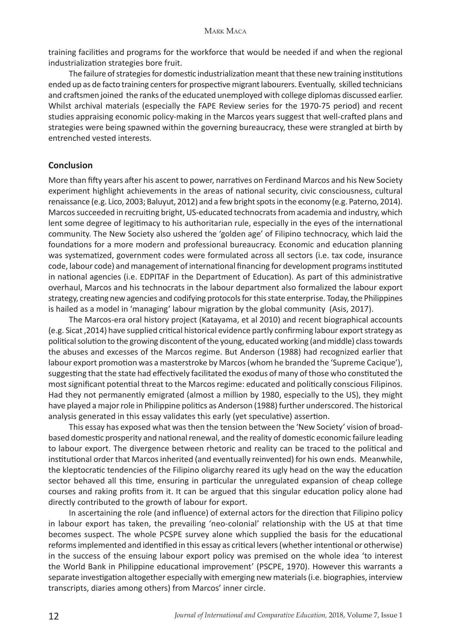training facilities and programs for the workforce that would be needed if and when the regional industrialization strategies bore fruit.

The failure of strategies for domestic industrialization meant that these new training institutions ended up as de facto training centers for prospective migrant labourers. Eventually, skilled technicians and craftsmen joined the ranks of the educated unemployed with college diplomas discussed earlier. Whilst archival materials (especially the FAPE Review series for the 1970-75 period) and recent studies appraising economic policy-making in the Marcos years suggest that well-crafted plans and strategies were being spawned within the governing bureaucracy, these were strangled at birth by entrenched vested interests.

#### **Conclusion**

More than fifty years after his ascent to power, narratives on Ferdinand Marcos and his New Society experiment highlight achievements in the areas of national security, civic consciousness, cultural renaissance (e.g. Lico, 2003; Baluyut, 2012) and a few bright spots in the economy (e.g. Paterno, 2014). Marcos succeeded in recruiting bright, US-educated technocrats from academia and industry, which lent some degree of legitimacy to his authoritarian rule, especially in the eyes of the international community. The New Society also ushered the 'golden age' of Filipino technocracy, which laid the foundations for a more modern and professional bureaucracy. Economic and education planning was systematized, government codes were formulated across all sectors (i.e. tax code, insurance code, labour code) and management of international financing for development programs instituted in national agencies (i.e. EDPITAF in the Department of Education). As part of this administrative overhaul, Marcos and his technocrats in the labour department also formalized the labour export strategy, creating new agencies and codifying protocols for this state enterprise. Today, the Philippines is hailed as a model in 'managing' labour migration by the global community (Asis, 2017).

The Marcos-era oral history project (Katayama, et al 2010) and recent biographical accounts (e.g. Sicat ,2014) have supplied critical historical evidence partly confirming labour export strategy as political solution to the growing discontent of the young, educated working (and middle) class towards the abuses and excesses of the Marcos regime. But Anderson (1988) had recognized earlier that labour export promotion was a masterstroke by Marcos (whom he branded the 'Supreme Cacique'), suggesting that the state had effectively facilitated the exodus of many of those who constituted the most significant potential threat to the Marcos regime: educated and politically conscious Filipinos. Had they not permanently emigrated (almost a million by 1980, especially to the US), they might have played a major role in Philippine politics as Anderson (1988) further underscored. The historical analysis generated in this essay validates this early (yet speculative) assertion.

This essay has exposed what was then the tension between the 'New Society' vision of broadbased domestic prosperity and national renewal, and the reality of domestic economic failure leading to labour export. The divergence between rhetoric and reality can be traced to the political and institutional order that Marcos inherited (and eventually reinvented) for his own ends. Meanwhile, the kleptocratic tendencies of the Filipino oligarchy reared its ugly head on the way the education sector behaved all this time, ensuring in particular the unregulated expansion of cheap college courses and raking profits from it. It can be argued that this singular education policy alone had directly contributed to the growth of labour for export.

In ascertaining the role (and influence) of external actors for the direction that Filipino policy in labour export has taken, the prevailing 'neo-colonial' relationship with the US at that time becomes suspect. The whole PCSPE survey alone which supplied the basis for the educational reforms implemented and identified in this essay as critical levers (whether intentional or otherwise) in the success of the ensuing labour export policy was premised on the whole idea 'to interest the World Bank in Philippine educational improvement' (PSCPE, 1970). However this warrants a separate investigation altogether especially with emerging new materials (i.e. biographies, interview transcripts, diaries among others) from Marcos' inner circle.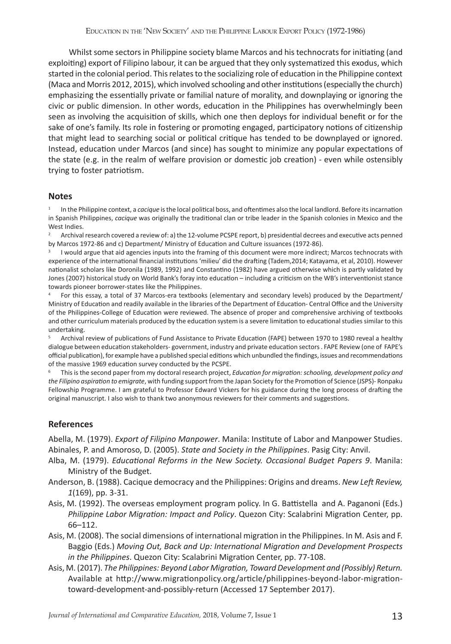Whilst some sectors in Philippine society blame Marcos and his technocrats for initiating (and exploiting) export of Filipino labour, it can be argued that they only systematized this exodus, which started in the colonial period. This relates to the socializing role of education in the Philippine context (Maca and Morris 2012, 2015), which involved schooling and other institutions (especially the church) emphasizing the essentially private or familial nature of morality, and downplaying or ignoring the civic or public dimension. In other words, education in the Philippines has overwhelmingly been seen as involving the acquisition of skills, which one then deploys for individual benefit or for the sake of one's family. Its role in fostering or promoting engaged, participatory notions of citizenship that might lead to searching social or political critique has tended to be downplayed or ignored. Instead, education under Marcos (and since) has sought to minimize any popular expectations of the state (e.g. in the realm of welfare provision or domestic job creation) - even while ostensibly trying to foster patriotism.

#### **Notes**

<sup>1</sup> In the Philippine context, a *cacique* is the local political boss, and oftentimes also the local landlord. Before its incarnation in Spanish Philippines, *cacique* was originally the traditional clan or tribe leader in the Spanish colonies in Mexico and the West Indies.

<sup>2</sup> Archival research covered a review of: a) the 12-volume PCSPE report, b) presidential decrees and executive acts penned by Marcos 1972-86 and c) Department/ Ministry of Education and Culture issuances (1972-86).

I would argue that aid agencies inputs into the framing of this document were more indirect; Marcos technocrats with experience of the international financial institutions 'milieu' did the drafting (Tadem,2014; Katayama, et al, 2010). However nationalist scholars like Doronila (1989, 1992) and Constantino (1982) have argued otherwise which is partly validated by Jones (2007) historical study on World Bank's foray into education – including a criticism on the WB's interventionist stance towards pioneer borrower-states like the Philippines.

<sup>4</sup> For this essay, a total of 37 Marcos-era textbooks (elementary and secondary levels) produced by the Department/ Ministry of Education and readily available in the libraries of the Department of Education- Central Office and the University of the Philippines-College of Education were reviewed. The absence of proper and comprehensive archiving of textbooks and other curriculum materials produced by the education system is a severe limitation to educational studies similar to this undertaking.

Archival review of publications of Fund Assistance to Private Education (FAPE) between 1970 to 1980 reveal a healthy dialogue between education stakeholders- government, industry and private education sectors . FAPE Review (one of FAPE's official publication), for example have a published special editions which unbundled the findings, issues and recommendations of the massive 1969 education survey conducted by the PCSPE.

<sup>6</sup> This is the second paper from my doctoral research project, *Education for migration: schooling, development policy and the Filipino aspiration to emigrate*, with funding support from the Japan Society for the Promotion of Science (JSPS)- Ronpaku Fellowship Programme. I am grateful to Professor Edward Vickers for his guidance during the long process of drafting the original manuscript. I also wish to thank two anonymous reviewers for their comments and suggestions.

# **References**

Abella, M. (1979). *Export of Filipino Manpower*. Manila: Institute of Labor and Manpower Studies. Abinales, P. and Amoroso, D. (2005). *State and Society in the Philippines*. Pasig City: Anvil.

- Alba, M. (1979). *Educational Reforms in the New Society. Occasional Budget Papers 9*. Manila: Ministry of the Budget.
- Anderson, B. (1988). Cacique democracy and the Philippines: Origins and dreams. *New Left Review, 1*(169), pp. 3-31.
- Asis, M. (1992). The overseas employment program policy. In G. Battistella and A. Paganoni (Eds.) *Philippine Labor Migration: Impact and Policy*. Quezon City: Scalabrini Migration Center, pp. 66–112.
- Asis, M. (2008). The social dimensions of international migration in the Philippines. In M. Asis and F. Baggio (Eds.) *Moving Out, Back and Up: International Migration and Development Prospects in the Philippines*. Quezon City: Scalabrini Migration Center, pp. 77-108.
- Asis, M. (2017). *The Philippines: Beyond Labor Migration, Toward Development and (Possibly) Return.* Available at http://www.migrationpolicy.org/article/philippines-beyond-labor-migrationtoward-development-and-possibly-return (Accessed 17 September 2017).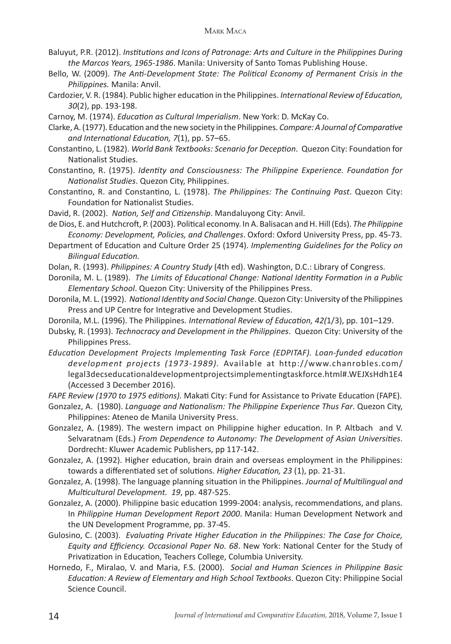- Baluyut, P.R. (2012). *Institutions and Icons of Patronage: Arts and Culture in the Philippines During the Marcos Years, 1965-1986*. Manila: University of Santo Tomas Publishing House.
- Bello, W. (2009). *The Anti-Development State: The Political Economy of Permanent Crisis in the Philippines.* Manila: Anvil.
- Cardozier, V. R. (1984). Public higher education in the Philippines. *International Review of Education, 30*(2), pp. 193-198.
- Carnoy, M. (1974). *Education as Cultural Imperialism*. New York: D. McKay Co.
- Clarke, A. (1977). Education and the new society in the Philippines. *Compare: A Journal of Comparative and International Education, 7*(1), pp. 57–65.
- Constantino, L. (1982). *World Bank Textbooks: Scenario for Deception*. Quezon City: Foundation for Nationalist Studies.
- Constantino, R. (1975). *Identity and Consciousness: The Philippine Experience. Foundation for Nationalist Studies*. Quezon City, Philippines.
- Constantino, R. and Constantino, L. (1978). *The Philippines: The Continuing Past*. Quezon City: Foundation for Nationalist Studies.
- David, R. (2002). *Nation, Self and Citizenship*. Mandaluyong City: Anvil.
- de Dios, E. and Hutchcroft, P. (2003). Political economy. In A. Balisacan and H. Hill (Eds). *The Philippine Economy: Development, Policies, and Challenges*. Oxford: Oxford University Press, pp. 45-73.
- Department of Education and Culture Order 25 (1974). *Implementing Guidelines for the Policy on Bilingual Education.*
- Dolan, R. (1993). *Philippines: A Country Study* (4th ed). Washington, D.C.: Library of Congress.
- Doronila, M. L. (1989). *The Limits of Educational Change: National Identity Formation in a Public Elementary School*. Quezon City: University of the Philippines Press.
- Doronila, M. L. (1992). *National Identity and Social Change*. Quezon City: University of the Philippines Press and UP Centre for Integrative and Development Studies.
- Doronila, M.L. (1996). The Philippines. *International Review of Education, 42(*1/3), pp. 101–129.
- Dubsky, R. (1993). *Technocracy and Development in the Philippines*. Quezon City: University of the Philippines Press.
- *Education Development Projects Implementing Task Force (EDPITAF). Loan-funded education development projects (1973-1989).* Available at http://www.chanrobles.com/ legal3decseducationaldevelopmentprojectsimplementingtaskforce.html#.WEJXsHdh1E4 (Accessed 3 December 2016).
- *FAPE Review (1970 to 1975 editions).* Makati City: Fund for Assistance to Private Education (FAPE).
- Gonzalez, A. (1980). *Language and Nationalism: The Philippine Experience Thus Far*. Quezon City, Philippines: Ateneo de Manila University Press.
- Gonzalez, A. (1989). The western impact on Philippine higher education. In P. Altbach and V. Selvaratnam (Eds.) *From Dependence to Autonomy: The Development of Asian Universities*. Dordrecht: Kluwer Academic Publishers, pp 117-142.
- Gonzalez, A. (1992). Higher education, brain drain and overseas employment in the Philippines: towards a differentiated set of solutions. *Higher Education, 23* (1), pp. 21-31.
- Gonzalez, A. (1998). The language planning situation in the Philippines. *Journal of Multilingual and Multicultural Development. 19*, pp. 487-525.
- Gonzalez, A. (2000). Philippine basic education 1999-2004: analysis, recommendations, and plans. In *Philippine Human Development Report 2000*. Manila: Human Development Network and the UN Development Programme, pp. 37-45.
- Gulosino, C. (2003). *Evaluating Private Higher Education in the Philippines: The Case for Choice, Equity and Efficiency. Occasional Paper No. 68*. New York: National Center for the Study of Privatization in Education, Teachers College, Columbia University.
- Hornedo, F., Miralao, V. and Maria, F.S. (2000). *Social and Human Sciences in Philippine Basic Education: A Review of Elementary and High School Textbooks*. Quezon City: Philippine Social Science Council.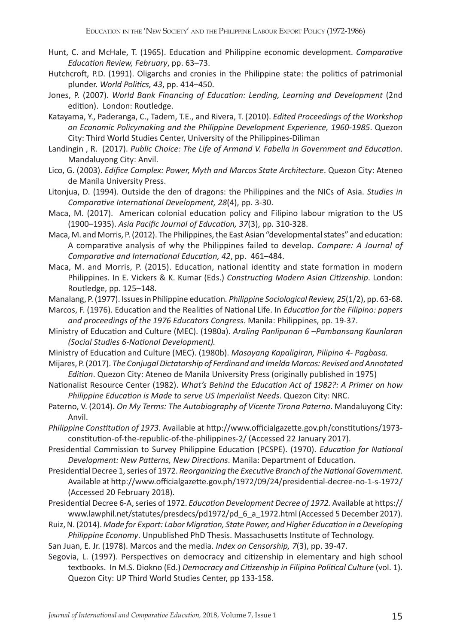- Hunt, C. and McHale, T. (1965). Education and Philippine economic development. *Comparative Education Review, February*, pp. 63–73.
- Hutchcroft, P.D. (1991). Oligarchs and cronies in the Philippine state: the politics of patrimonial plunder. *World Politics, 43*, pp. 414–450.
- Jones, P. (2007). *World Bank Financing of Education: Lending, Learning and Development* (2nd edition). London: Routledge.
- Katayama, Y., Paderanga, C., Tadem, T.E., and Rivera, T. (2010). *Edited Proceedings of the Workshop on Economic Policymaking and the Philippine Development Experience, 1960-1985*. Quezon City: Third World Studies Center, University of the Philippines-Diliman
- Landingin , R. (2017). *Public Choice: The Life of Armand V. Fabella in Government and Education*. Mandaluyong City: Anvil.
- Lico, G. (2003). *Edifice Complex: Power, Myth and Marcos State Architecture*. Quezon City: Ateneo de Manila University Press.
- Litonjua, D. (1994). Outside the den of dragons: the Philippines and the NICs of Asia. *Studies in Comparative International Development, 28*(4), pp. 3-30.
- Maca, M. (2017). American colonial education policy and Filipino labour migration to the US (1900–1935). *Asia Pacific Journal of Education, 37*(3), pp. 310-328.
- Maca, M. and Morris, P. (2012). The Philippines, the East Asian "developmental states" and education: A comparative analysis of why the Philippines failed to develop. *Compare: A Journal of Comparative and International Education, 42*, pp. 461–484.
- Maca, M. and Morris, P. (2015). Education, national identity and state formation in modern Philippines. In E. Vickers & K. Kumar (Eds.) *Constructing Modern Asian Citizenship*. London: Routledge, pp. 125–148.
- Manalang, P. (1977). Issues in Philippine education*. Philippine Sociological Review, 25*(1/2), pp. 63-68.
- Marcos, F. (1976). Education and the Realities of National Life. In *Education for the Filipino: papers and proceedings of the 1976 Educators Congress*. Manila: Philippines, pp. 19-37.
- Ministry of Education and Culture (MEC). (1980a). *Araling Panlipunan 6 –Pambansang Kaunlaran (Social Studies 6-National Development).*
- Ministry of Education and Culture (MEC). (1980b). *Masayang Kapaligiran, Pilipino 4- Pagbasa.*
- Mijares, P. (2017). *The Conjugal Dictatorship of Ferdinand and Imelda Marcos: Revised and Annotated Edition*. Quezon City: Ateneo de Manila University Press (originally published in 1975)
- Nationalist Resource Center (1982). *What's Behind the Education Act of 1982?: A Primer on how Philippine Education is Made to serve US Imperialist Needs*. Quezon City: NRC.
- Paterno, V. (2014). *On My Terms: The Autobiography of Vicente Tirona Paterno*. Mandaluyong City: Anvil.
- *Philippine Constitution of 1973*. Available at http://www.officialgazette.gov.ph/constitutions/1973 constitution-of-the-republic-of-the-philippines-2/ (Accessed 22 January 2017).
- Presidential Commission to Survey Philippine Education (PCSPE). (1970). *Education for National Development: New Patterns, New Directions*. Manila: Department of Education.
- Presidential Decree 1, series of 1972. *Reorganizing the Executive Branch of the National Government*. Available at http://www.officialgazette.gov.ph/1972/09/24/presidential-decree-no-1-s-1972/ (Accessed 20 February 2018).
- Presidential Decree 6-A, series of 1972. *Education Development Decree of 1972.* Available at https:// www.lawphil.net/statutes/presdecs/pd1972/pd\_6\_a\_1972.html (Accessed 5 December 2017).
- Ruiz, N. (2014). *Made for Export: Labor Migration, State Power, and Higher Education in a Developing Philippine Economy*. Unpublished PhD Thesis. Massachusetts Institute of Technology.
- San Juan, E. Jr. (1978). Marcos and the media. *Index on Censorship, 7*(3), pp. 39-47.
- Segovia, L. (1997). Perspectives on democracy and citizenship in elementary and high school textbooks. In M.S. Diokno (Ed.) *Democracy and Citizenship in Filipino Political Culture* (vol. 1). Quezon City: UP Third World Studies Center, pp 133-158.